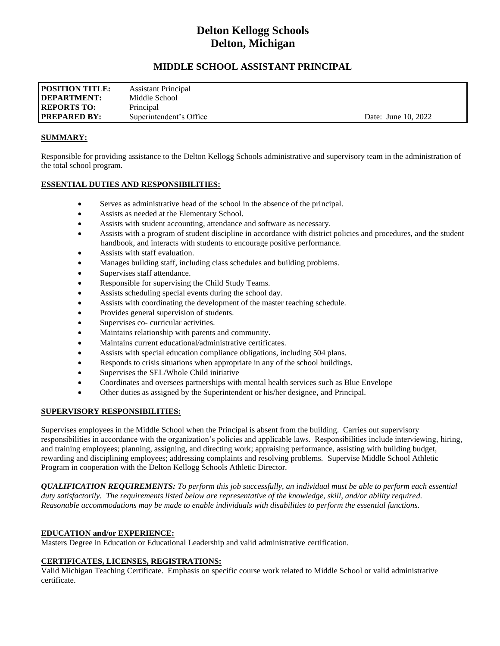# **Delton Kellogg Schools Delton, Michigan**

# **MIDDLE SCHOOL ASSISTANT PRINCIPAL**

| <b>POSITION TITLE:</b><br>DEPARTMENT:     | <b>Assistant Principal</b><br>Middle School |                     |
|-------------------------------------------|---------------------------------------------|---------------------|
| <b>REPORTS TO:</b><br><b>PREPARED BY:</b> | Principal<br>Superintendent's Office        | Date: June 10, 2022 |

#### **SUMMARY:**

Responsible for providing assistance to the Delton Kellogg Schools administrative and supervisory team in the administration of the total school program.

#### **ESSENTIAL DUTIES AND RESPONSIBILITIES:**

- Serves as administrative head of the school in the absence of the principal.
- Assists as needed at the Elementary School.
- Assists with student accounting, attendance and software as necessary.
- Assists with a program of student discipline in accordance with district policies and procedures, and the student handbook, and interacts with students to encourage positive performance.
- Assists with staff evaluation.
- Manages building staff, including class schedules and building problems.
- Supervises staff attendance.
- Responsible for supervising the Child Study Teams.
- Assists scheduling special events during the school day.
- Assists with coordinating the development of the master teaching schedule.
- Provides general supervision of students.
- Supervises co- curricular activities.
- Maintains relationship with parents and community.
- Maintains current educational/administrative certificates.
- Assists with special education compliance obligations, including 504 plans.
- Responds to crisis situations when appropriate in any of the school buildings.
- Supervises the SEL/Whole Child initiative
- Coordinates and oversees partnerships with mental health services such as Blue Envelope
- Other duties as assigned by the Superintendent or his/her designee, and Principal.

#### **SUPERVISORY RESPONSIBILITIES:**

Supervises employees in the Middle School when the Principal is absent from the building. Carries out supervisory responsibilities in accordance with the organization's policies and applicable laws. Responsibilities include interviewing, hiring, and training employees; planning, assigning, and directing work; appraising performance, assisting with building budget, rewarding and disciplining employees; addressing complaints and resolving problems. Supervise Middle School Athletic Program in cooperation with the Delton Kellogg Schools Athletic Director.

*QUALIFICATION REQUIREMENTS: To perform this job successfully, an individual must be able to perform each essential duty satisfactorily. The requirements listed below are representative of the knowledge, skill, and/or ability required. Reasonable accommodations may be made to enable individuals with disabilities to perform the essential functions.*

#### **EDUCATION and/or EXPERIENCE:**

Masters Degree in Education or Educational Leadership and valid administrative certification.

## **CERTIFICATES, LICENSES, REGISTRATIONS:**

Valid Michigan Teaching Certificate. Emphasis on specific course work related to Middle School or valid administrative certificate.